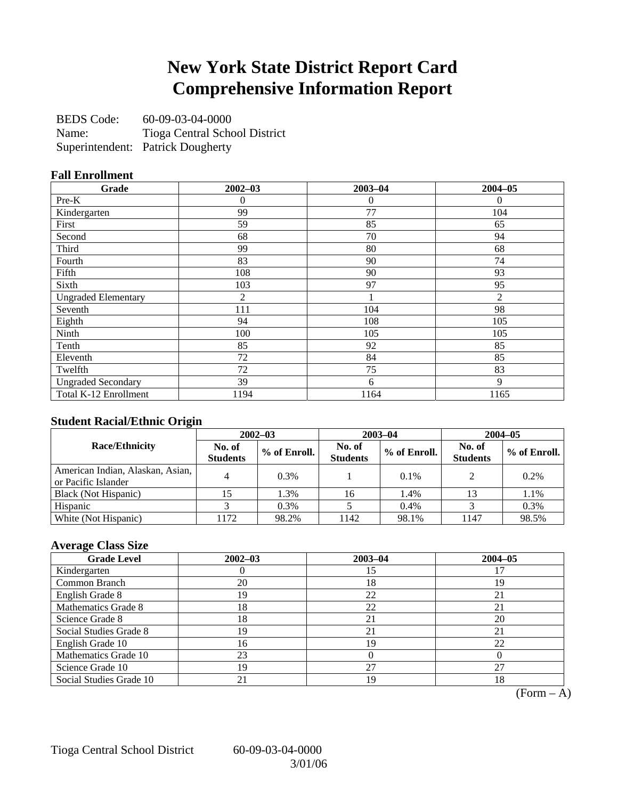### **New York State District Report Card Comprehensive Information Report**

BEDS Code: 60-09-03-04-0000 Name: Tioga Central School District Superintendent: Patrick Dougherty

### **Fall Enrollment**

| Grade                      | $2002 - 03$ | $2003 - 04$ | $2004 - 05$    |
|----------------------------|-------------|-------------|----------------|
| Pre-K                      | 0           | 0           | $\Omega$       |
| Kindergarten               | 99          | 77          | 104            |
| First                      | 59          | 85          | 65             |
| Second                     | 68          | 70          | 94             |
| Third                      | 99          | 80          | 68             |
| Fourth                     | 83          | 90          | 74             |
| Fifth                      | 108         | 90          | 93             |
| Sixth                      | 103         | 97          | 95             |
| <b>Ungraded Elementary</b> | 2           |             | $\overline{2}$ |
| Seventh                    | 111         | 104         | 98             |
| Eighth                     | 94          | 108         | 105            |
| Ninth                      | 100         | 105         | 105            |
| Tenth                      | 85          | 92          | 85             |
| Eleventh                   | 72          | 84          | 85             |
| Twelfth                    | 72          | 75          | 83             |
| <b>Ungraded Secondary</b>  | 39          | 6           | 9              |
| Total K-12 Enrollment      | 1194        | 1164        | 1165           |

### **Student Racial/Ethnic Origin**

|                                                         | $2002 - 03$               |              |                           | $2003 - 04$  | $2004 - 05$               |              |  |
|---------------------------------------------------------|---------------------------|--------------|---------------------------|--------------|---------------------------|--------------|--|
| <b>Race/Ethnicity</b>                                   | No. of<br><b>Students</b> | % of Enroll. | No. of<br><b>Students</b> | % of Enroll. | No. of<br><b>Students</b> | % of Enroll. |  |
| American Indian, Alaskan, Asian,<br>or Pacific Islander |                           | 0.3%         |                           | $0.1\%$      |                           | 0.2%         |  |
| Black (Not Hispanic)                                    |                           | 1.3%         | 16                        | 1.4%         | 13                        | 1.1%         |  |
| Hispanic                                                |                           | 0.3%         |                           | 0.4%         |                           | 0.3%         |  |
| White (Not Hispanic)                                    | 172                       | 98.2%        | 1142                      | 98.1%        | 1147                      | 98.5%        |  |

### **Average Class Size**

| <b>Grade Level</b>      | $2002 - 03$ | $2003 - 04$ | $2004 - 05$ |
|-------------------------|-------------|-------------|-------------|
| Kindergarten            |             | 15          |             |
| Common Branch           | 20          | 18          | 19          |
| English Grade 8         | 19          | 22          |             |
| Mathematics Grade 8     | 18          | 22          | 21          |
| Science Grade 8         | l8          | 21          | 20          |
| Social Studies Grade 8  | 19          | 21          |             |
| English Grade 10        | 16          | 19          | 22          |
| Mathematics Grade 10    | 23          |             |             |
| Science Grade 10        | 19          | 27          | 27          |
| Social Studies Grade 10 |             | 19          | 18          |

 $(Form - A)$ 

Tioga Central School District 60-09-03-04-0000

3/01/06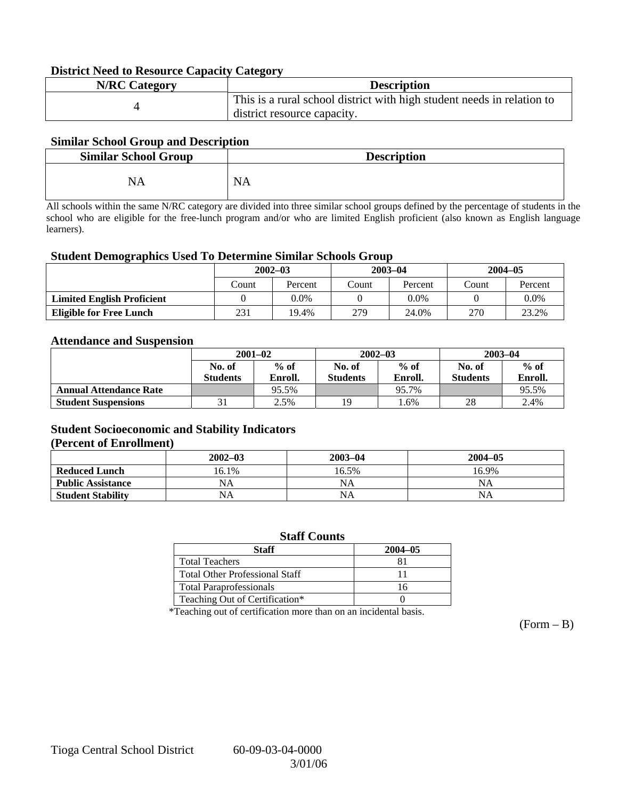#### **District Need to Resource Capacity Category**

| <b>N/RC</b> Category | <b>Description</b>                                                     |
|----------------------|------------------------------------------------------------------------|
|                      | This is a rural school district with high student needs in relation to |
|                      | district resource capacity.                                            |

#### **Similar School Group and Description**

| <b>Similar School Group</b> | <b>Description</b> |
|-----------------------------|--------------------|
| NA                          | <b>NA</b>          |

All schools within the same N/RC category are divided into three similar school groups defined by the percentage of students in the school who are eligible for the free-lunch program and/or who are limited English proficient (also known as English language learners).

#### **Student Demographics Used To Determine Similar Schools Group**

|                                   | $2002 - 03$ |         | $2003 - 04$ |         | $2004 - 05$ |         |
|-----------------------------------|-------------|---------|-------------|---------|-------------|---------|
|                                   | Count       | Percent | Count       | Percent | Count       | Percent |
| <b>Limited English Proficient</b> |             | 0.0%    |             | 0.0%    |             | $0.0\%$ |
| <b>Eligible for Free Lunch</b>    | 231         | 19.4%   | 279         | 24.0%   | 270         | 23.2%   |

#### **Attendance and Suspension**

|                               | $2001 - 02$      |         |                  | $2002 - 03$ | $2003 - 04$     |         |
|-------------------------------|------------------|---------|------------------|-------------|-----------------|---------|
|                               | $%$ of<br>No. of |         | $%$ of<br>No. of |             | No. of          | $%$ of  |
|                               | <b>Students</b>  | Enroll. | <b>Students</b>  | Enroll.     | <b>Students</b> | Enroll. |
| <b>Annual Attendance Rate</b> |                  | 95.5%   |                  | 95.7%       |                 | 95.5%   |
| <b>Student Suspensions</b>    |                  | 2.5%    | 19               | 1.6%        | 28              | 2.4%    |

#### **Student Socioeconomic and Stability Indicators (Percent of Enrollment)**

|                          | $2002 - 03$ | $2003 - 04$ | $2004 - 05$ |
|--------------------------|-------------|-------------|-------------|
| <b>Reduced Lunch</b>     | 16.1%       | 16.5%       | 16.9%       |
| <b>Public Assistance</b> | NA          | NA          | NA          |
| <b>Student Stability</b> | NA          | <b>NA</b>   | NA          |

#### **Staff Counts**

| Staff                                 | $2004 - 05$ |
|---------------------------------------|-------------|
| <b>Total Teachers</b>                 |             |
| <b>Total Other Professional Staff</b> |             |
| <b>Total Paraprofessionals</b>        | 16          |
| Teaching Out of Certification*        |             |

\*Teaching out of certification more than on an incidental basis.

 $(Form - B)$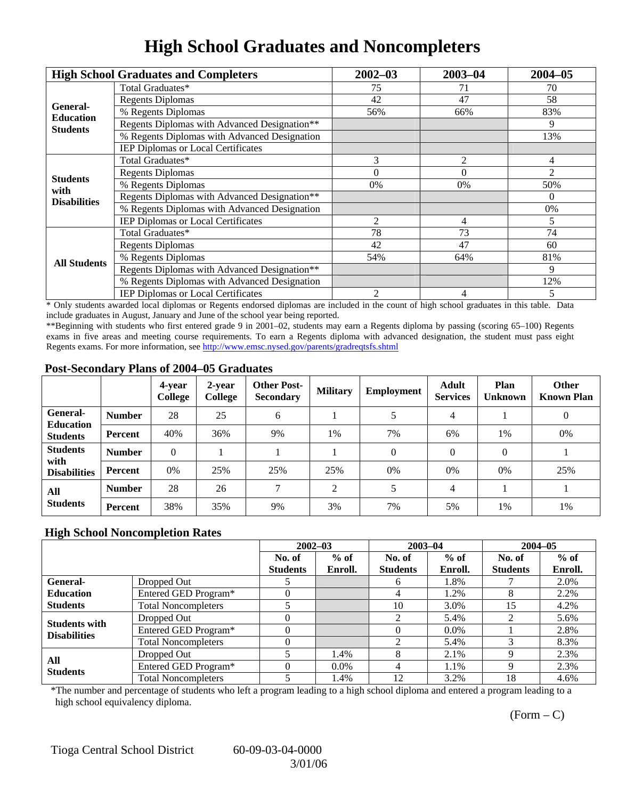# **High School Graduates and Noncompleters**

|                     | <b>High School Graduates and Completers</b>  | $2002 - 03$                                                                                                          | $2003 - 04$ | $2004 - 05$ |
|---------------------|----------------------------------------------|----------------------------------------------------------------------------------------------------------------------|-------------|-------------|
|                     | Total Graduates*                             | 75                                                                                                                   | 71          | 70          |
| General-            | <b>Regents Diplomas</b>                      | 42<br>47<br>56%<br>66%<br>3<br>2<br>$\Omega$<br>$\Omega$<br>0%<br>0%<br>2<br>4<br>78<br>73<br>42<br>47<br>54%<br>64% | 58          |             |
| <b>Education</b>    | % Regents Diplomas                           |                                                                                                                      |             | 83%         |
| <b>Students</b>     | Regents Diplomas with Advanced Designation** |                                                                                                                      |             | 9           |
|                     | % Regents Diplomas with Advanced Designation |                                                                                                                      |             | 13%         |
|                     | IEP Diplomas or Local Certificates           |                                                                                                                      |             |             |
|                     | Total Graduates*                             |                                                                                                                      |             | 4           |
| <b>Students</b>     | <b>Regents Diplomas</b>                      |                                                                                                                      |             | 2           |
| with                | % Regents Diplomas                           |                                                                                                                      |             | 50%         |
| <b>Disabilities</b> | Regents Diplomas with Advanced Designation** |                                                                                                                      |             | $\theta$    |
|                     | % Regents Diplomas with Advanced Designation |                                                                                                                      |             | 0%          |
|                     | IEP Diplomas or Local Certificates           |                                                                                                                      |             | 5           |
|                     | Total Graduates*                             |                                                                                                                      |             | 74          |
|                     | <b>Regents Diplomas</b>                      |                                                                                                                      |             | 60          |
| <b>All Students</b> | % Regents Diplomas                           | $\overline{c}$<br>4                                                                                                  | 81%         |             |
|                     | Regents Diplomas with Advanced Designation** |                                                                                                                      |             | 9           |
|                     | % Regents Diplomas with Advanced Designation |                                                                                                                      |             | 12%         |
|                     | IEP Diplomas or Local Certificates           |                                                                                                                      |             | 5           |

\* Only students awarded local diplomas or Regents endorsed diplomas are included in the count of high school graduates in this table. Data include graduates in August, January and June of the school year being reported.

\*\*Beginning with students who first entered grade 9 in 2001–02, students may earn a Regents diploma by passing (scoring 65–100) Regents exams in five areas and meeting course requirements. To earn a Regents diploma with advanced designation, the student must pass eight Regents exams. For more information, see http://www.emsc.nysed.gov/parents/gradreqtsfs.shtml

#### **Post-Secondary Plans of 2004–05 Graduates**

|                                                |                | 4-year<br>College | 2-year<br>College | <b>Other Post-</b><br><b>Secondary</b> | <b>Military</b> | Employment | <b>Adult</b><br><b>Services</b> | Plan<br><b>Unknown</b> | <b>Other</b><br><b>Known Plan</b> |
|------------------------------------------------|----------------|-------------------|-------------------|----------------------------------------|-----------------|------------|---------------------------------|------------------------|-----------------------------------|
| <b>General-</b><br><b>Education</b>            | <b>Number</b>  | 28                | 25                | 6                                      |                 |            | 4                               |                        | $\boldsymbol{0}$                  |
| <b>Students</b>                                | Percent        | 40%               | 36%               | 9%                                     | 1%              | 7%         | 6%                              | 1%                     | 0%                                |
| <b>Students</b><br>with<br><b>Disabilities</b> | <b>Number</b>  | $\theta$          |                   |                                        |                 | $\Omega$   | $\Omega$                        | $\Omega$               |                                   |
|                                                | Percent        | 0%                | 25%               | 25%                                    | 25%             | 0%         | 0%                              | 0%                     | 25%                               |
| All<br><b>Students</b>                         | <b>Number</b>  | 28                | 26                |                                        | $\bigcap$       |            | $\overline{4}$                  |                        |                                   |
|                                                | <b>Percent</b> | 38%               | 35%               | 9%                                     | 3%              | 7%         | 5%                              | 1%                     | 1%                                |

### **High School Noncompletion Rates**

|                        |                            | $2002 - 03$<br>$2003 - 04$ |         |                 | $2004 - 05$ |                 |         |
|------------------------|----------------------------|----------------------------|---------|-----------------|-------------|-----------------|---------|
|                        |                            | No. of                     | $%$ of  | No. of          | $%$ of      | No. of          | $%$ of  |
|                        |                            | <b>Students</b>            | Enroll. | <b>Students</b> | Enroll.     | <b>Students</b> | Enroll. |
| General-               | Dropped Out                |                            |         | h.              | 1.8%        |                 | 2.0%    |
| <b>Education</b>       | Entered GED Program*       |                            |         | 4               | 1.2%        | 8               | 2.2%    |
| <b>Students</b>        | <b>Total Noncompleters</b> |                            |         | 10              | 3.0%        | 15              | 4.2%    |
| <b>Students with</b>   | Dropped Out                |                            |         | 2               | 5.4%        | $\mathcal{L}$   | 5.6%    |
| <b>Disabilities</b>    | Entered GED Program*       |                            |         |                 | $0.0\%$     |                 | 2.8%    |
|                        | <b>Total Noncompleters</b> |                            |         |                 | 5.4%        |                 | 8.3%    |
| All<br><b>Students</b> | Dropped Out                |                            | 1.4%    | 8               | 2.1%        |                 | 2.3%    |
|                        | Entered GED Program*       |                            | $0.0\%$ | 4               | 1.1%        | q               | 2.3%    |
|                        | <b>Total Noncompleters</b> |                            | 1.4%    | 12              | 3.2%        | 18              | 4.6%    |

\*The number and percentage of students who left a program leading to a high school diploma and entered a program leading to a high school equivalency diploma.

 $(Form - C)$ 

Tioga Central School District 60-09-03-04-0000

3/01/06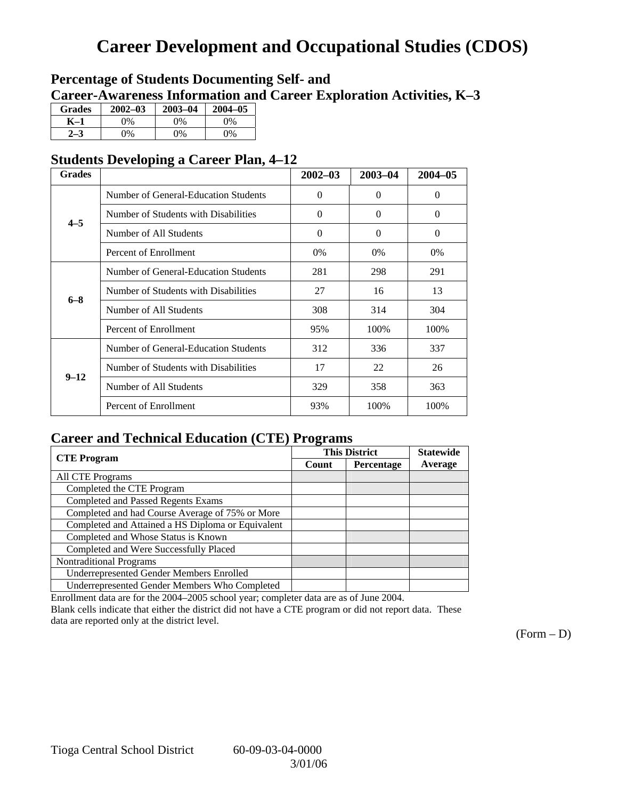## **Career Development and Occupational Studies (CDOS)**

### **Percentage of Students Documenting Self- and Career-Awareness Information and Career Exploration Activities, K–3**

| <b>Grades</b> | $2002 - 03$ | $2003 - 04$ | $2004 - 05$ |
|---------------|-------------|-------------|-------------|
| K–1           | 0%          | $0\%$       | $0\%$       |
| $2 - 3$       | 9%          | $0\%$       | $0\%$       |

### **Students Developing a Career Plan, 4–12**

| <b>Grades</b> |                                      | $2002 - 03$ | $2003 - 04$ | $2004 - 05$ |
|---------------|--------------------------------------|-------------|-------------|-------------|
|               | Number of General-Education Students | $\Omega$    | $\Omega$    | $\Omega$    |
| $4 - 5$       | Number of Students with Disabilities | $\theta$    | $\Omega$    | $\Omega$    |
|               | Number of All Students               | $\theta$    | $\Omega$    | $\Omega$    |
|               | Percent of Enrollment                | 0%          | $0\%$       | $0\%$       |
|               | Number of General-Education Students | 281         | 298         | 291         |
| $6 - 8$       | Number of Students with Disabilities | 27          | 16          | 13          |
|               | Number of All Students               | 308         | 314         | 304         |
|               | Percent of Enrollment                | 95%         | 100\%       | 100%        |
|               | Number of General-Education Students | 312         | 336         | 337         |
| $9 - 12$      | Number of Students with Disabilities | 17          | 22          | 26          |
|               | Number of All Students               | 329         | 358         | 363         |
|               | Percent of Enrollment                | 93%         | 100%        | 100%        |

### **Career and Technical Education (CTE) Programs**

|                                                   |       | <b>This District</b> | <b>Statewide</b> |
|---------------------------------------------------|-------|----------------------|------------------|
| <b>CTE</b> Program                                | Count | Percentage           | Average          |
| <b>All CTE Programs</b>                           |       |                      |                  |
| Completed the CTE Program                         |       |                      |                  |
| <b>Completed and Passed Regents Exams</b>         |       |                      |                  |
| Completed and had Course Average of 75% or More   |       |                      |                  |
| Completed and Attained a HS Diploma or Equivalent |       |                      |                  |
| Completed and Whose Status is Known               |       |                      |                  |
| Completed and Were Successfully Placed            |       |                      |                  |
| <b>Nontraditional Programs</b>                    |       |                      |                  |
| <b>Underrepresented Gender Members Enrolled</b>   |       |                      |                  |
| Underrepresented Gender Members Who Completed     |       |                      |                  |

Enrollment data are for the 2004–2005 school year; completer data are as of June 2004.

Blank cells indicate that either the district did not have a CTE program or did not report data. These data are reported only at the district level.

 $(Form - D)$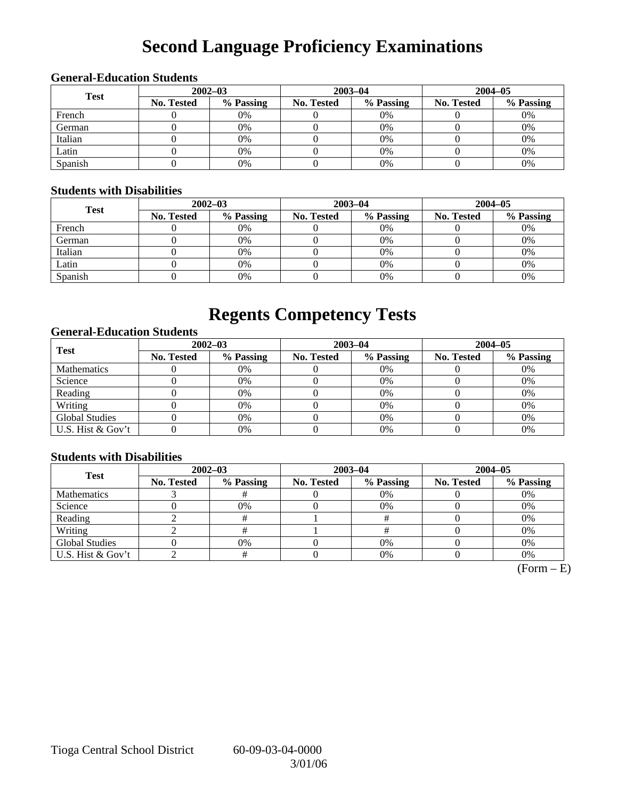# **Second Language Proficiency Examinations**

### **General-Education Students**

| <b>Test</b> | $2002 - 03$       |           |            | $2003 - 04$ | $2004 - 05$       |           |  |
|-------------|-------------------|-----------|------------|-------------|-------------------|-----------|--|
|             | <b>No. Tested</b> | % Passing | No. Tested | % Passing   | <b>No. Tested</b> | % Passing |  |
| French      |                   | 0%        |            | 0%          |                   | 0%        |  |
| German      |                   | 0%        |            | $0\%$       |                   | 0%        |  |
| Italian     |                   | 0%        |            | 0%          |                   | 0%        |  |
| Latin       |                   | 0%        |            | 0%          |                   | 0%        |  |
| Spanish     |                   | 0%        |            | 0%          |                   | 0%        |  |

#### **Students with Disabilities**

| <b>Test</b> | $2002 - 03$ |           |            | $2003 - 04$ | $2004 - 05$       |           |  |
|-------------|-------------|-----------|------------|-------------|-------------------|-----------|--|
|             | No. Tested  | % Passing | No. Tested | % Passing   | <b>No. Tested</b> | % Passing |  |
| French      |             | 0%        |            | $0\%$       |                   | 0%        |  |
| German      |             | 0%        |            | $0\%$       |                   | 0%        |  |
| Italian     |             | 0%        |            | $0\%$       |                   | 0%        |  |
| Latin       |             | 0%        |            | $0\%$       |                   | 0%        |  |
| Spanish     |             | 0%        |            | 0%          |                   | 0%        |  |

### **Regents Competency Tests**

### **General-Education Students**

| <b>Test</b>           |                   | $2002 - 03$ |                   | $2003 - 04$ | $2004 - 05$ |           |  |
|-----------------------|-------------------|-------------|-------------------|-------------|-------------|-----------|--|
|                       | <b>No. Tested</b> | % Passing   | <b>No. Tested</b> | % Passing   | No. Tested  | % Passing |  |
| <b>Mathematics</b>    |                   | 0%          |                   | 0%          |             | 0%        |  |
| Science               |                   | 0%          |                   | 0%          |             | 0%        |  |
| Reading               |                   | 0%          |                   | $0\%$       |             | 0%        |  |
| Writing               |                   | 0%          |                   | 0%          |             | 0%        |  |
| <b>Global Studies</b> |                   | 0%          |                   | 0%          |             | 0%        |  |
| U.S. Hist & Gov't     |                   | 0%          |                   | 0%          |             | 0%        |  |

### **Students with Disabilities**

| <b>Test</b>           | $2002 - 03$       |           | $2003 - 04$ |           | $2004 - 05$ |           |  |
|-----------------------|-------------------|-----------|-------------|-----------|-------------|-----------|--|
|                       | <b>No. Tested</b> | % Passing | No. Tested  | % Passing | No. Tested  | % Passing |  |
| <b>Mathematics</b>    |                   |           |             | 0%        |             | 0%        |  |
| Science               |                   | 0%        |             | 0%        |             | 0%        |  |
| Reading               |                   |           |             |           |             | 0%        |  |
| Writing               |                   |           |             |           |             | 0%        |  |
| <b>Global Studies</b> |                   | 0%        |             | 0%        |             | 0%        |  |
| U.S. Hist & Gov't     |                   |           |             | 0%        |             | 0%        |  |

 $\overline{\text{(Form - E)}}$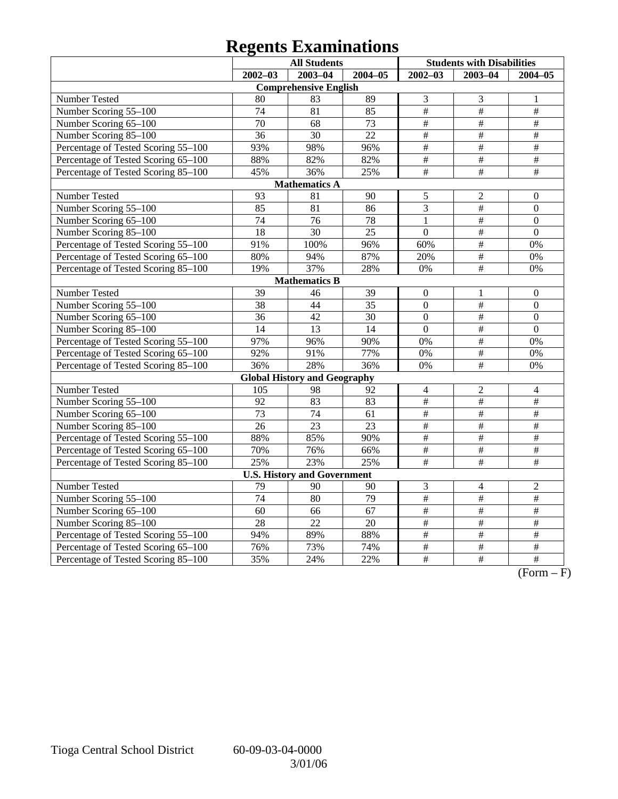# **Regents Examinations**

|                                     | <b>All Students</b> |                                     |                 | <b>Students with Disabilities</b> |                 |                  |
|-------------------------------------|---------------------|-------------------------------------|-----------------|-----------------------------------|-----------------|------------------|
|                                     | $2002 - 03$         | $2003 - 04$                         | $2004 - 05$     | $2002 - 03$                       | $2003 - 04$     | $2004 - 05$      |
|                                     |                     | <b>Comprehensive English</b>        |                 |                                   |                 |                  |
| <b>Number Tested</b>                | 80                  | 83                                  | 89              | 3                                 | 3               | $\mathbf{1}$     |
| Number Scoring 55-100               | 74                  | 81                                  | 85              | $\overline{\#}$                   | $\overline{\#}$ | #                |
| Number Scoring 65-100               | $\overline{70}$     | 68                                  | $\overline{73}$ | $\#$                              | $\#$            | $\overline{\#}$  |
| Number Scoring 85-100               | $\overline{36}$     | $\overline{30}$                     | $\overline{22}$ | #                                 | #               | $\frac{1}{2}$    |
| Percentage of Tested Scoring 55-100 | 93%                 | 98%                                 | 96%             | $\#$                              | $\overline{\#}$ | $\#$             |
| Percentage of Tested Scoring 65-100 | 88%                 | 82%                                 | 82%             | $\#$                              | $\#$            | $\#$             |
| Percentage of Tested Scoring 85-100 | 45%                 | 36%                                 | 25%             | #                                 | #               | $\#$             |
|                                     |                     | <b>Mathematics A</b>                |                 |                                   |                 |                  |
| Number Tested                       | 93                  | 81                                  | 90              | 5                                 | $\overline{c}$  | $\boldsymbol{0}$ |
| Number Scoring 55-100               | 85                  | 81                                  | 86              | 3                                 | $\#$            | $\boldsymbol{0}$ |
| Number Scoring 65-100               | 74                  | 76                                  | 78              | $\mathbf{1}$                      | $\overline{\#}$ | $\boldsymbol{0}$ |
| Number Scoring 85-100               | 18                  | $\overline{30}$                     | $\overline{25}$ | $\overline{0}$                    | $\#$            | $\overline{0}$   |
| Percentage of Tested Scoring 55-100 | 91%                 | 100%                                | 96%             | 60%                               | $\overline{\#}$ | 0%               |
| Percentage of Tested Scoring 65-100 | 80%                 | 94%                                 | 87%             | 20%                               | $\overline{\#}$ | 0%               |
| Percentage of Tested Scoring 85-100 | 19%                 | 37%                                 | 28%             | 0%                                | $\overline{\#}$ | 0%               |
|                                     |                     | <b>Mathematics B</b>                |                 |                                   |                 |                  |
| Number Tested                       | 39                  | 46                                  | 39              | $\overline{0}$                    | $\mathbf{1}$    | $\boldsymbol{0}$ |
| Number Scoring 55-100               | $\overline{38}$     | 44                                  | $\overline{35}$ | $\overline{0}$                    | #               | $\overline{0}$   |
| Number Scoring 65-100               | 36                  | 42                                  | 30              | $\overline{0}$                    | $\overline{\#}$ | $\overline{0}$   |
| Number Scoring 85-100               | $\overline{14}$     | $\overline{13}$                     | $\overline{14}$ | $\overline{0}$                    | #               | $\overline{0}$   |
| Percentage of Tested Scoring 55-100 | 97%                 | 96%                                 | 90%             | 0%                                | $\overline{\#}$ | 0%               |
| Percentage of Tested Scoring 65-100 | 92%                 | 91%                                 | 77%             | 0%                                | $\#$            | 0%               |
| Percentage of Tested Scoring 85-100 | 36%                 | 28%                                 | 36%             | 0%                                | $\#$            | 0%               |
|                                     |                     | <b>Global History and Geography</b> |                 |                                   |                 |                  |
| Number Tested                       | 105                 | 98                                  | 92              | 4                                 | $\overline{c}$  | 4                |
| Number Scoring 55-100               | $\overline{92}$     | 83                                  | 83              | $\overline{\#}$                   | $\#$            | $\overline{\#}$  |
| Number Scoring 65-100               | 73                  | 74                                  | 61              | $\frac{1}{2}$                     | $\frac{1}{2}$   | $\frac{1}{2}$    |
| Number Scoring 85-100               | 26                  | 23                                  | 23              | $\frac{1}{2}$                     | $\#$            | $\overline{\#}$  |
| Percentage of Tested Scoring 55-100 | 88%                 | 85%                                 | 90%             | #                                 | #               | #                |
| Percentage of Tested Scoring 65-100 | 70%                 | 76%                                 | 66%             | $\#$                              | $\#$            | $\overline{\#}$  |
| Percentage of Tested Scoring 85-100 | 25%                 | 23%                                 | 25%             | $\#$                              | #               | #                |
|                                     |                     | <b>U.S. History and Government</b>  |                 |                                   |                 |                  |
| Number Tested                       | 79                  | 90                                  | 90              | 3                                 | $\overline{4}$  | $\overline{c}$   |
| Number Scoring 55-100               | $\overline{74}$     | 80                                  | 79              | $\overline{\#}$                   | $\#$            | $\#$             |
| Number Scoring 65-100               | 60                  | 66                                  | 67              | $\#$                              | $\#$            | $\#$             |
| Number Scoring 85-100               | $\overline{28}$     | $\overline{22}$                     | 20              | $\overline{\#}$                   | #               | #                |
| Percentage of Tested Scoring 55-100 | 94%                 | 89%                                 | 88%             | $\overline{\#}$                   | $\#$            | #                |
| Percentage of Tested Scoring 65-100 | 76%                 | 73%                                 | 74%             | #                                 | $\frac{1}{2}$   | $\#$             |
| Percentage of Tested Scoring 85-100 | 35%                 | 24%                                 | 22%             | $\overline{+}$                    | #               | $\overline{+}$   |

 $\overline{(Form - F)}$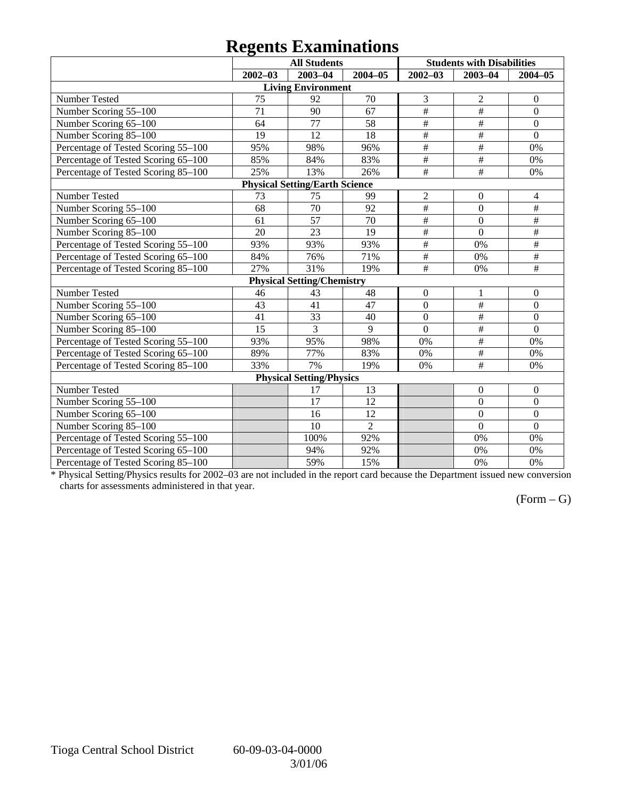## **Regents Examinations**

|                                     | o           | <b>All Students</b>                   |                 |                 | <b>Students with Disabilities</b> |                         |
|-------------------------------------|-------------|---------------------------------------|-----------------|-----------------|-----------------------------------|-------------------------|
|                                     | $2002 - 03$ | $2003 - 04$                           | 2004-05         | $2002 - 03$     | $2003 - 04$                       | $2004 - 05$             |
|                                     |             | <b>Living Environment</b>             |                 |                 |                                   |                         |
| Number Tested                       | 75          | 92                                    | 70              | 3               | $\overline{2}$                    | $\boldsymbol{0}$        |
| Number Scoring 55-100               | 71          | 90                                    | 67              | $\overline{\#}$ | $\overline{\#}$                   | $\boldsymbol{0}$        |
| Number Scoring 65-100               | 64          | 77                                    | 58              | $\overline{\#}$ | $\#$                              | $\boldsymbol{0}$        |
| Number Scoring 85-100               | 19          | 12                                    | 18              | $\#$            | $\#$                              | $\overline{0}$          |
| Percentage of Tested Scoring 55-100 | 95%         | 98%                                   | 96%             | $\#$            | $\overline{\ddot{}}$              | 0%                      |
| Percentage of Tested Scoring 65-100 | 85%         | 84%                                   | 83%             | $\overline{\#}$ | $\overline{\#}$                   | 0%                      |
| Percentage of Tested Scoring 85-100 | 25%         | 13%                                   | 26%             | $\overline{\#}$ | $\#$                              | 0%                      |
|                                     |             | <b>Physical Setting/Earth Science</b> |                 |                 |                                   |                         |
| Number Tested                       | 73          | 75                                    | 99              | $\overline{c}$  | $\boldsymbol{0}$                  | 4                       |
| Number Scoring 55-100               | 68          | 70                                    | 92              | $\#$            | $\Omega$                          | $\#$                    |
| Number Scoring 65-100               | 61          | 57                                    | 70              | $\#$            | $\overline{0}$                    | $\#$                    |
| Number Scoring 85-100               | 20          | 23                                    | 19              | $\overline{\#}$ | $\overline{0}$                    | $\overline{\ddot{\pi}}$ |
| Percentage of Tested Scoring 55-100 | 93%         | 93%                                   | 93%             | $\overline{\#}$ | 0%                                | $\#$                    |
| Percentage of Tested Scoring 65-100 | 84%         | 76%                                   | 71%             | $\overline{\#}$ | 0%                                | $\overline{\#}$         |
| Percentage of Tested Scoring 85-100 | 27%         | 31%                                   | 19%             | $\overline{\#}$ | 0%                                | #                       |
|                                     |             | <b>Physical Setting/Chemistry</b>     |                 |                 |                                   |                         |
| Number Tested                       | 46          | 43                                    | 48              | $\mathbf{0}$    | $\mathbf{1}$                      | $\overline{0}$          |
| Number Scoring 55-100               | 43          | $\overline{41}$                       | $\overline{47}$ | $\overline{0}$  | $\#$                              | $\overline{0}$          |
| Number Scoring 65-100               | 41          | 33                                    | 40              | $\overline{0}$  | #                                 | $\mathbf{0}$            |
| Number Scoring 85-100               | 15          | 3                                     | 9               | $\overline{0}$  | $\overline{\#}$                   | $\overline{0}$          |
| Percentage of Tested Scoring 55-100 | 93%         | 95%                                   | 98%             | 0%              | $\#$                              | 0%                      |
| Percentage of Tested Scoring 65-100 | 89%         | 77%                                   | 83%             | 0%              | $\#$                              | 0%                      |
| Percentage of Tested Scoring 85-100 | 33%         | 7%                                    | 19%             | 0%              | $\overline{\overline{t}}$         | 0%                      |
|                                     |             | <b>Physical Setting/Physics</b>       |                 |                 |                                   |                         |
| Number Tested                       |             | 17                                    | 13              |                 | $\boldsymbol{0}$                  | $\boldsymbol{0}$        |
| Number Scoring 55-100               |             | 17                                    | 12              |                 | $\mathbf{0}$                      | $\mathbf{0}$            |
| Number Scoring 65-100               |             | 16                                    | 12              |                 | $\overline{0}$                    | $\overline{0}$          |
| Number Scoring 85-100               |             | 10                                    | $\overline{2}$  |                 | $\mathbf{0}$                      | $\mathbf{0}$            |
| Percentage of Tested Scoring 55-100 |             | 100%                                  | 92%             |                 | 0%                                | 0%                      |
| Percentage of Tested Scoring 65-100 |             | 94%                                   | 92%             |                 | 0%                                | 0%                      |
| Percentage of Tested Scoring 85-100 |             | 59%                                   | 15%             |                 | 0%                                | 0%                      |

\* Physical Setting/Physics results for 2002–03 are not included in the report card because the Department issued new conversion charts for assessments administered in that year.

### $(Form - G)$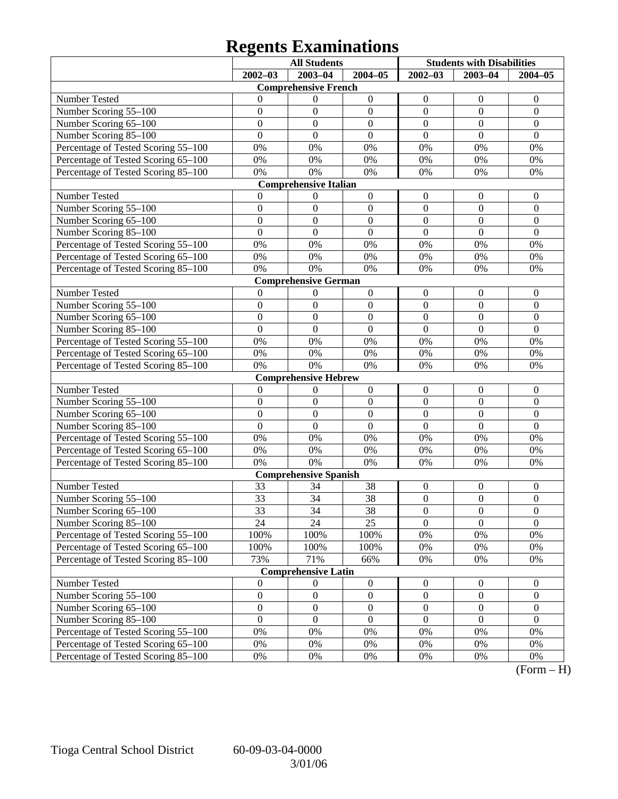# **Regents Examinations**

|                                                              | <b>All Students</b>                  |                                      | <b>Students with Disabilities</b>    |                                      |                                      |                                    |
|--------------------------------------------------------------|--------------------------------------|--------------------------------------|--------------------------------------|--------------------------------------|--------------------------------------|------------------------------------|
|                                                              | $2002 - 03$                          | 2003-04                              | $2004 - 05$                          | $2002 - 03$                          | $2003 - 04$                          | $2004 - 05$                        |
|                                                              |                                      | <b>Comprehensive French</b>          |                                      |                                      |                                      |                                    |
| Number Tested                                                | 0                                    | $\boldsymbol{0}$                     | $\boldsymbol{0}$                     | $\boldsymbol{0}$                     | $\boldsymbol{0}$                     | $\mathbf{0}$                       |
| Number Scoring 55-100                                        | $\boldsymbol{0}$                     | $\boldsymbol{0}$                     | $\boldsymbol{0}$                     | $\boldsymbol{0}$                     | $\mathbf{0}$                         | $\boldsymbol{0}$                   |
| Number Scoring 65-100                                        | $\boldsymbol{0}$                     | $\boldsymbol{0}$                     | $\boldsymbol{0}$                     | $\boldsymbol{0}$                     | $\mathbf{0}$                         | $\boldsymbol{0}$                   |
| Number Scoring 85-100                                        | $\overline{0}$                       | $\boldsymbol{0}$                     | $\mathbf{0}$                         | $\mathbf{0}$                         | $\mathbf{0}$                         | $\mathbf{0}$                       |
| Percentage of Tested Scoring 55-100                          | 0%                                   | 0%                                   | 0%                                   | 0%                                   | 0%                                   | 0%                                 |
| Percentage of Tested Scoring 65-100                          | 0%                                   | 0%                                   | $0\%$                                | 0%                                   | 0%                                   | 0%                                 |
| Percentage of Tested Scoring 85-100                          | 0%                                   | 0%                                   | 0%                                   | 0%                                   | 0%                                   | 0%                                 |
|                                                              |                                      | <b>Comprehensive Italian</b>         |                                      |                                      |                                      |                                    |
| Number Tested                                                | $\theta$                             | $\boldsymbol{0}$                     | $\boldsymbol{0}$                     | $\boldsymbol{0}$                     | $\boldsymbol{0}$                     | $\mathbf{0}$                       |
| Number Scoring 55-100                                        | $\boldsymbol{0}$                     | $\boldsymbol{0}$                     | $\boldsymbol{0}$                     | $\boldsymbol{0}$                     | $\boldsymbol{0}$                     | $\boldsymbol{0}$                   |
| Number Scoring 65-100                                        | $\boldsymbol{0}$                     | $\boldsymbol{0}$                     | $\boldsymbol{0}$                     | $\boldsymbol{0}$                     | $\overline{0}$                       | $\boldsymbol{0}$                   |
| Number Scoring 85-100                                        | $\overline{0}$                       | $\boldsymbol{0}$                     | $\mathbf{0}$                         | $\mathbf{0}$                         | $\mathbf{0}$                         | $\boldsymbol{0}$                   |
| Percentage of Tested Scoring 55-100                          | 0%                                   | 0%                                   | 0%                                   | 0%                                   | 0%                                   | 0%                                 |
| Percentage of Tested Scoring 65-100                          | 0%                                   | 0%                                   | $0\%$                                | 0%                                   | 0%                                   | 0%                                 |
| Percentage of Tested Scoring 85-100                          | 0%                                   | 0%                                   | 0%                                   | 0%                                   | 0%                                   | 0%                                 |
|                                                              |                                      | <b>Comprehensive German</b>          |                                      |                                      |                                      |                                    |
| Number Tested                                                | $\mathbf{0}$                         | $\boldsymbol{0}$                     | $\boldsymbol{0}$                     | $\boldsymbol{0}$                     | $\boldsymbol{0}$                     | $\mathbf{0}$                       |
| Number Scoring 55-100                                        | $\boldsymbol{0}$                     | $\boldsymbol{0}$                     | $\boldsymbol{0}$                     | $\boldsymbol{0}$                     | $\boldsymbol{0}$                     | $\boldsymbol{0}$                   |
| Number Scoring 65-100                                        | $\boldsymbol{0}$                     | $\boldsymbol{0}$                     | $\boldsymbol{0}$                     | $\boldsymbol{0}$                     | $\overline{0}$                       | $\boldsymbol{0}$                   |
| Number Scoring 85-100                                        | $\overline{0}$                       | $\mathbf{0}$                         | $\mathbf{0}$                         | $\mathbf{0}$                         | $\overline{0}$                       | $\overline{0}$                     |
| Percentage of Tested Scoring 55-100                          | 0%                                   | 0%                                   | 0%                                   | 0%                                   | 0%                                   | 0%                                 |
| Percentage of Tested Scoring 65-100                          | 0%                                   | 0%                                   | $0\%$                                | 0%                                   | 0%                                   | 0%                                 |
| Percentage of Tested Scoring 85-100                          | 0%                                   | 0%                                   | 0%                                   | 0%                                   | 0%                                   | 0%                                 |
|                                                              |                                      | <b>Comprehensive Hebrew</b>          |                                      |                                      |                                      |                                    |
| Number Tested                                                | $\boldsymbol{0}$                     | $\boldsymbol{0}$                     | $\boldsymbol{0}$                     | $\boldsymbol{0}$                     | $\boldsymbol{0}$                     | $\mathbf{0}$                       |
| Number Scoring 55-100                                        | $\boldsymbol{0}$                     | $\boldsymbol{0}$                     | $\boldsymbol{0}$                     | $\boldsymbol{0}$                     | $\boldsymbol{0}$                     | $\boldsymbol{0}$                   |
| Number Scoring 65-100                                        | $\boldsymbol{0}$                     | $\boldsymbol{0}$                     | $\boldsymbol{0}$                     | $\boldsymbol{0}$                     | $\overline{0}$                       | $\boldsymbol{0}$                   |
| Number Scoring 85-100                                        | $\overline{0}$                       | $\mathbf{0}$                         | $\mathbf{0}$                         | $\overline{0}$                       | $\overline{0}$                       | $\overline{0}$                     |
| Percentage of Tested Scoring 55-100                          | 0%                                   | 0%                                   | 0%                                   | 0%                                   | 0%                                   | 0%                                 |
| Percentage of Tested Scoring 65-100                          | 0%                                   | 0%                                   | $0\%$                                | 0%                                   | 0%                                   | 0%                                 |
| Percentage of Tested Scoring 85-100                          | 0%                                   | 0%                                   | $0\%$                                | 0%                                   | 0%                                   | 0%                                 |
|                                                              |                                      | <b>Comprehensive Spanish</b>         |                                      |                                      |                                      |                                    |
| Number Tested                                                | 33                                   | 34                                   | 38                                   | $\boldsymbol{0}$                     | $\boldsymbol{0}$                     | $\mathbf{0}$                       |
| Number Scoring 55-100                                        | 33                                   | 34                                   | 38                                   | $\boldsymbol{0}$                     | $\mathbf{0}$                         | $\boldsymbol{0}$                   |
| Number Scoring 65-100                                        | 33                                   | 34                                   | 38                                   | $\boldsymbol{0}$                     | $\boldsymbol{0}$                     | $\boldsymbol{0}$<br>$\overline{0}$ |
| Number Scoring 85-100                                        | 24                                   | 24                                   | 25                                   | $\overline{0}$                       | $\overline{0}$                       |                                    |
| Percentage of Tested Scoring 55-100                          | 100%                                 | 100%                                 | 100%                                 | 0%                                   | 0%                                   | 0%                                 |
| Percentage of Tested Scoring 65-100                          | 100%<br>73%                          | 100%<br>71%                          | 100%                                 | $0\%$                                | 0%                                   | $0\%$<br>0%                        |
| Percentage of Tested Scoring 85-100                          |                                      | <b>Comprehensive Latin</b>           | 66%                                  | 0%                                   | 0%                                   |                                    |
| Number Tested                                                |                                      |                                      |                                      |                                      |                                      |                                    |
| Number Scoring 55-100                                        | $\boldsymbol{0}$<br>$\boldsymbol{0}$ | $\boldsymbol{0}$<br>$\boldsymbol{0}$ | $\boldsymbol{0}$<br>$\boldsymbol{0}$ | $\boldsymbol{0}$<br>$\boldsymbol{0}$ | $\boldsymbol{0}$<br>$\boldsymbol{0}$ | $\overline{0}$<br>$\boldsymbol{0}$ |
| Number Scoring 65-100                                        | $\boldsymbol{0}$                     | $\boldsymbol{0}$                     | $\boldsymbol{0}$                     | $\boldsymbol{0}$                     | $\boldsymbol{0}$                     | $\boldsymbol{0}$                   |
|                                                              | $\boldsymbol{0}$                     | $\boldsymbol{0}$                     | $\boldsymbol{0}$                     | $\boldsymbol{0}$                     | $\mathbf{0}$                         | $\boldsymbol{0}$                   |
| Number Scoring 85-100<br>Percentage of Tested Scoring 55-100 | 0%                                   | 0%                                   | $0\%$                                | 0%                                   | 0%                                   | 0%                                 |
| Percentage of Tested Scoring 65-100                          | 0%                                   | 0%                                   | 0%                                   | 0%                                   | 0%                                   | 0%                                 |
|                                                              | $0\%$                                |                                      |                                      |                                      |                                      |                                    |
| Percentage of Tested Scoring 85-100                          |                                      | 0%                                   | 0%                                   | 0%                                   | 0%                                   | 0%                                 |

 $(Form - H)$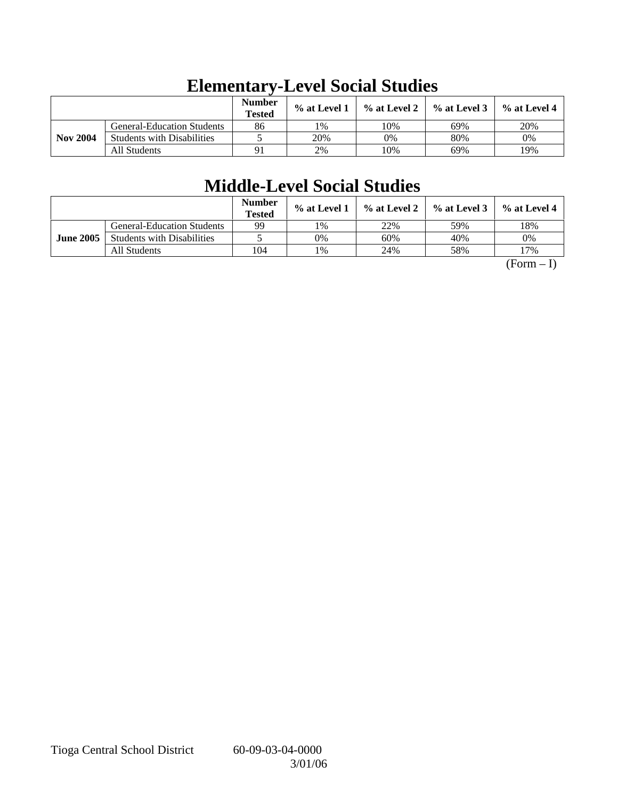|                 |                                   | <b>Number</b><br><b>Tested</b> | $\%$ at Level 1 | $\%$ at Level 2 | $%$ at Level 3 | $%$ at Level 4 |
|-----------------|-----------------------------------|--------------------------------|-----------------|-----------------|----------------|----------------|
|                 | <b>General-Education Students</b> | 86                             | 1%              | 10%             | 69%            | 20%            |
| <b>Nov 2004</b> | <b>Students with Disabilities</b> |                                | 20%             | 0%              | 80%            | 0%             |
|                 | All Students                      | 91                             | 2%              | 10%             | 69%            | 19%            |

## **Elementary-Level Social Studies**

## **Middle-Level Social Studies**

|                  |                                   | <b>Number</b><br><b>Tested</b> | % at Level 1 | % at Level 2 | $\%$ at Level 3 | $\%$ at Level 4 |
|------------------|-----------------------------------|--------------------------------|--------------|--------------|-----------------|-----------------|
|                  | <b>General-Education Students</b> | 99                             | 1%           | 22%          | 59%             | 18%             |
| <b>June 2005</b> | <b>Students with Disabilities</b> |                                | 0%           | 60%          | 40%             | 0%              |
|                  | All Students                      | 104                            | 1%           | 24%          | 58%             | 17%             |

 $(Form - I)$